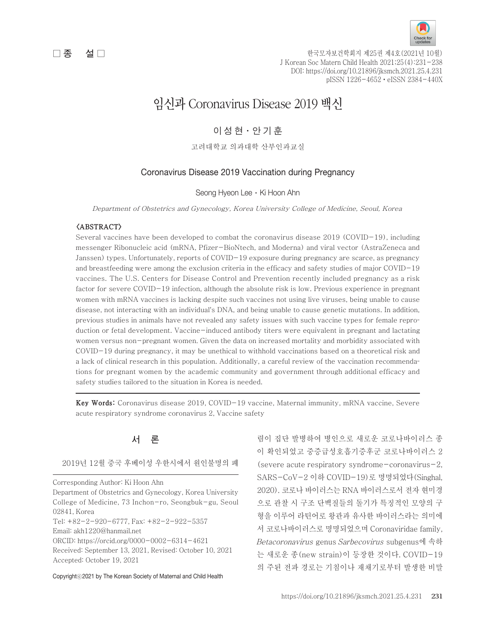

 $\Box$  종  $\Box$  설  $\Box$  호 그 이상 그 한국모자보건학회지 제25권 제4호(2021년 10월) J Korean Soc Matern Child Health 2021;25(4):231-238 DOI: https://doi.org/10.21896/jksmch.2021.25.4.231 pISSN 1226-4652ㆍeISSN 2384-440X

# 임신과 Coronavirus Disease 2019 백신

# 이 성 현·안 기 훈

고려대학교 의과대학 산부인과교실

# Coronavirus Disease 2019 Vaccination during Pregnancy

Seong Hyeon Lee · Ki Hoon Ahn

Department of Obstetrics and Gynecology, Korea University College of Medicine, Seoul, Korea

### <ABSTRACT>

Several vaccines have been developed to combat the coronavirus disease 2019 (COVID-19), including messenger Ribonucleic acid (mRNA, Pfizer-BioNtech, and Moderna) and viral vector (AstraZeneca and Janssen) types. Unfortunately, reports of COVID-19 exposure during pregnancy are scarce, as pregnancy and breastfeeding were among the exclusion criteria in the efficacy and safety studies of major COVID-19 vaccines. The U.S. Centers for Disease Control and Prevention recently included pregnancy as a risk factor for severe COVID-19 infection, although the absolute risk is low. Previous experience in pregnant women with mRNA vaccines is lacking despite such vaccines not using live viruses, being unable to cause disease, not interacting with an individual's DNA, and being unable to cause genetic mutations. In addition, previous studies in animals have not revealed any safety issues with such vaccine types for female reproduction or fetal development. Vaccine-induced antibody titers were equivalent in pregnant and lactating women versus non-pregnant women. Given the data on increased mortality and morbidity associated with COVID-19 during pregnancy, it may be unethical to withhold vaccinations based on a theoretical risk and a lack of clinical research in this population. Additionally, a careful review of the vaccination recommendations for pregnant women by the academic community and government through additional efficacy and safety studies tailored to the situation in Korea is needed.

Key Words: Coronavirus disease 2019, COVID-19 vaccine, Maternal immunity, mRNA vaccine, Severe acute respiratory syndrome coronavirus 2, Vaccine safety

# 서 론

2019년 12월 중국 후베이성 우한시에서 원인불명의 폐

Corresponding Author: Ki Hoon Ahn Department of Obstetrics and Gynecology, Korea University College of Medicine, 73 Inchon-ro, Seongbuk-gu, Seoul 02841, Korea Tel: +82-2-920-6777, Fax: +82-2-922-5357 Email: akh1220@hanmail.net ORCID: https://orcid.org/0000-0002-6314-4621 Received: September 13, 2021, Revised: October 10, 2021 Accepted: October 19, 2021

Copyrightⓒ2021 by The Korean Society of Maternal and Child Health

렴이 집단 발병하여 병인으로 새로운 코로나바이러스 종 이 확인되었고 중증급성호흡기증후군 코로나바이러스 2 (severe acute respiratory syndrome-coronavirus-2, SARS-CoV-2 이하 COVID-19)로 명명되었다(Singhal, 2020). 코로나 바이러스는 RNA 바이러스로서 전자 현미경 으로 관찰 시 구조 단백질들의 돌기가 특징적인 모양의 구 형을 이루어 라틴어로 왕관과 유사한 바이러스라는 의미에 서 코로나바이러스로 명명되었으며 Coronaviridae family, Betacoronavirus genus Sarbecovirus subgenus에 속하 는 새로운 종(new strain)이 등장한 것이다. COVID-19 의 주된 전파 경로는 기침이나 재채기로부터 발생한 비말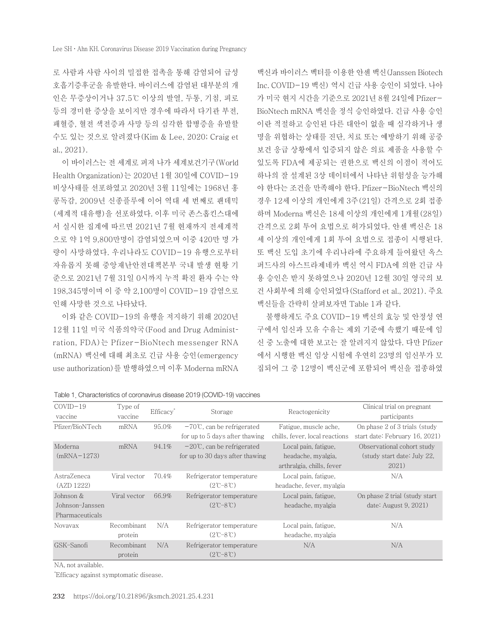로 사람과 사람 사이의 밀접한 접촉을 통해 감염되어 급성 호흡기증후군을 유발한다. 바이러스에 감염된 대부분의 개 인은 무증상이거나 37.5℃ 이상의 발열, 두통, 기침, 피로 등의 경미한 증상을 보이지만 경우에 따라서 다기관 부전, 패혈증, 혈전 색전증과 사망 등의 심각한 합병증을 유발할 수도 있는 것으로 알려졌다(Kim & Lee, 2020; Craig et al., 2021).

이 바이러스는 전 세계로 퍼져 나가 세계보건기구(World Health Organization)는 2020년 1월 30일에 COVID-19 비상사태를 선포하였고 2020년 3월 11일에는 1968년 홍 콩독감, 2009년 신종플루에 이어 역대 세 번째로 팬데믹 (세계적 대유행)을 선포하였다. 이후 미국 존스홉킨스대에 서 실시한 집계에 따르면 2021년 7월 현재까지 전세계적 으로 약 1억 9,800만명이 감염되었으며 이중 420만 명 가 량이 사망하였다. 우리나라도 COVID-19 유행으로부터 자유롭지 못해 중앙재난안전대책본부 국내 발생 현황 기 준으로 2021년 7월 31일 0시까지 누적 확진 환자 수는 약 198,345명이며 이 중 약 2,100명이 COVID-19 감염으로 인해 사망한 것으로 나타났다.

이와 같은 COVID-19의 유행을 저지하기 위해 2020년 12월 11일 미국 식품의약국(Food and Drug Administration, FDA)는 Pfizer-BioNtech messenger RNA (mRNA) 백신에 대해 최초로 긴급 사용 승인(emergency use authorization)를 발행하였으며 이후 Moderna mRNA

백신과 바이러스 벡터를 이용한 얀센 백신(Janssen Biotech Inc. COVID-19 백신) 역시 긴급 사용 승인이 되었다. 나아 가 미국 현지 시간을 기준으로 2021년 8월 24일에 Pfizer-BioNtech mRNA 백신을 정식 승인하였다. 긴급 사용 승인 이란 적절하고 승인된 다른 대안이 없을 때 심각하거나 생 명을 위협하는 상태를 진단, 치료 또는 예방하기 위해 공중 보건 응급 상황에서 입증되지 않은 의료 제품을 사용할 수 있도록 FDA에 제공되는 권한으로 백신의 이점이 적어도 하나의 잘 설계된 3상 데이터에서 나타난 위험성을 능가해 야 한다는 조건을 만족해야 한다. Pfizer-BioNtech 백신의 경우 12세 이상의 개인에게 3주(21일) 간격으로 2회 접종 하며 Moderna 백신은 18세 이상의 개인에게 1개월(28일) 간격으로 2회 투여 요법으로 허가되었다. 얀센 백신은 18 세 이상의 개인에게 1회 투여 요법으로 접종이 시행된다. 또 백신 도입 초기에 우리나라에 주요하게 들여왔던 옥스 퍼드사의 아스트라제네카 백신 역시 FDA에 의한 긴급 사 용 승인은 받지 못하였으나 2020년 12월 30일 영국의 보 건 사회부에 의해 승인되었다(Stafford et al., 2021). 주요 백신들을 간략히 살펴보자면 Table 1과 같다.

불행하게도 주요 COVID-19 백신의 효능 및 안정성 연 구에서 임신과 모유 수유는 제외 기준에 속했기 때문에 임 신 중 노출에 대한 보고는 잘 알려지지 않았다. 다만 Pfizer 에서 시행한 백신 임상 시험에 우연히 23명의 임신부가 모 집되어 그 중 12명이 백신군에 포함되어 백신을 접종하였

| $COVID-19$<br>vaccine                           | Type of<br>vaccine     | Efficacy <sup>*</sup> | Storage                                                                 | Reactogenicity                                                          | Clinical trial on pregnant<br>participants                         |
|-------------------------------------------------|------------------------|-----------------------|-------------------------------------------------------------------------|-------------------------------------------------------------------------|--------------------------------------------------------------------|
| Pfizer/BioNTech                                 | mRNA                   | 95.0%                 | $-70^{\circ}$ C, can be refrigerated<br>for up to 5 days after thawing  | Fatigue, muscle ache,<br>chills, fever, local reactions                 | On phase 2 of 3 trials (study<br>start date: February 16, 2021)    |
| Moderna<br>$(mRNA-1273)$                        | mRNA                   | 94.1%                 | $-20^{\circ}$ C, can be refrigerated<br>for up to 30 days after thawing | Local pain, fatigue,<br>headache, myalgia,<br>arthralgia, chills, fever | Observational cohort study<br>(study start date: July 22,<br>2021) |
| AstraZeneca<br>(AZD 1222)                       | Viral vector           | 70.4%                 | Refrigerator temperature<br>$(2^{\circ}C - 8^{\circ}C)$                 | Local pain, fatigue,<br>headache, fever, myalgia                        | N/A                                                                |
| Johnson &<br>Johnson-Janssen<br>Pharmaceuticals | Viral vector           | 66.9%                 | Refrigerator temperature<br>$(2^{\circ}C - 8^{\circ}C)$                 | Local pain, fatigue,<br>headache, myalgia                               | On phase 2 trial (study start)<br>date: August $9, 2021$ )         |
| Novavax                                         | Recombinant<br>protein | N/A                   | Refrigerator temperature<br>$(2^{\circ}C - 8^{\circ}C)$                 | Local pain, fatigue,<br>headache, myalgia                               | N/A                                                                |
| GSK-Sanofi                                      | Recombinant<br>protein | N/A                   | Refrigerator temperature<br>$(2^{\circ}C - 8^{\circ}C)$                 | N/A                                                                     | N/A                                                                |

Table 1. Characteristics of coronavirus disease 2019 (COVID-19) vaccines

NA, not available.

\* Efficacy against symptomatic disease.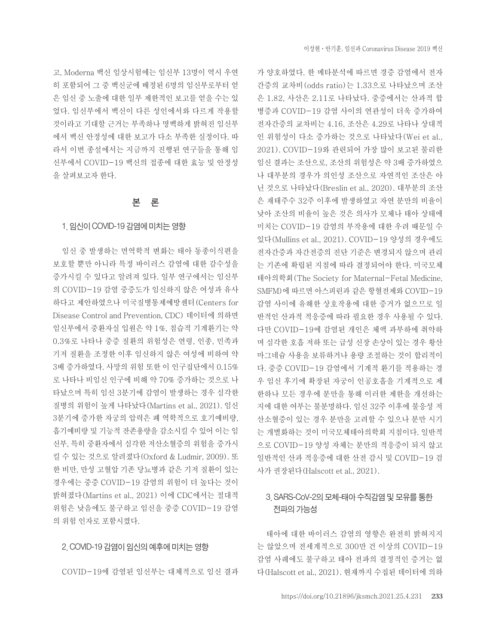고, Moderna 백신 임상시험에는 임신부 13명이 역시 우연 히 포함되어 그 중 백신군에 배정된 6명의 임신부로부터 얻 은 임신 중 노출에 대한 일부 제한적인 보고를 얻을 수는 있 었다. 임신부에서 백신이 다른 성인에서와 다르게 작용할 것이라고 기대할 근거는 부족하나 명백하게 밝혀진 임신부 에서 백신 안정성에 대한 보고가 다소 부족한 실정이다. 따 라서 이번 종설에서는 지금까지 진행된 연구들을 통해 임 신부에서 COVID-19 백신의 접종에 대한 효능 및 안정성 을 살펴보고자 한다.

# 본 론

### 1. 임신이 COVID-19 감염에 미치는 영향

임신 중 발생하는 면역학적 변화는 태아 동종이식편을 보호할 뿐만 아니라 특정 바이러스 감염에 대한 감수성을 증가시킬 수 있다고 알려져 있다. 일부 연구에서는 임신부 의 COVID-19 감염 중증도가 임신하지 않은 여성과 유사 하다고 제안하였으나 미국질병통제예방센터(Centers for Disease Control and Prevention, CDC) 데이터에 의하면 임신부에서 중환자실 입원은 약 1%, 침습적 기계환기는 약 0.3%로 나타나 중증 질환의 위험성은 연령, 인종, 민족과 기저 질환을 조정한 이후 임신하지 않은 여성에 비하여 약 3배 증가하였다. 사망의 위험 또한 이 인구집단에서 0.15% 로 나타나 비임신 인구에 비해 약 70% 증가하는 것으로 나 타났으며 특히 임신 3분기에 감염이 발생하는 경우 심각한 질병의 위험이 높게 나타났다(Martins et al., 2021). 임신 3분기에 증가한 자궁의 압력은 폐 역학적으로 호기예비량, 흡기예비량 및 기능적 잔존용량을 감소시킬 수 있어 이는 임 신부, 특히 중환자에서 심각한 저산소혈증의 위험을 증가시 킬 수 있는 것으로 알려졌다(Oxford & Ludmir, 2009). 또 한 비만, 만성 고혈압 기존 당뇨병과 같은 기저 질환이 있는 경우에는 중증 COVID-19 감염의 위험이 더 높다는 것이 밝혀졌다(Martins et al., 2021) 이에 CDC에서는 절대적 위험은 낮음에도 불구하고 임신을 중증 COVID-19 감염 의 위험 인자로 포함시켰다.

### 2. COVID-19 감염이 임신의 예후에 미치는 영향

COVID-19에 감염된 임신부는 대체적으로 임신 결과

가 양호하였다. 한 메타분석에 따르면 경증 감염에서 전자 간증의 교차비(odds ratio)는 1.33으로 나타났으며 조산 은 1.82, 사산은 2.11로 나타났다. 중증에서는 산과적 합 병증과 COVID-19 감염 사이의 연관성이 더욱 증가하여 전자간증의 교차비는 4.16, 조산은 4.29로 나타나 상대적 인 위험성이 다소 증가하는 것으로 나타났다(Wei et al., 2021). COVID-19와 관련되어 가장 많이 보고된 불리한 임신 결과는 조산으로, 조산의 위험성은 약 3배 증가하였으 나 대부분의 경우가 의인성 조산으로 자연적인 조산은 아 닌 것으로 나타났다(Breslin et al., 2020). 대부분의 조산 은 재태주수 32주 이후에 발생하였고 자연 분만의 비율이 낮아 조산의 비율이 높은 것은 의사가 모체나 태아 상태에 미치는 COVID-19 감염의 부작용에 대한 우려 때문일 수 있다(Mullins et al., 2021). COVID-19 양성의 경우에도 전자간증과 자간전증의 진단 기준은 변경되지 않으며 관리 는 기존에 확립된 지침에 따라 결정되어야 한다. 미국모체 태아의학회(The Society for Maternal-Fetal Medicine, SMFM)에 따르면 아스피린과 같은 항혈전제와 COVID-19 감염 사이에 유해한 상호작용에 대한 증거가 없으므로 일 반적인 산과적 적응증에 따라 필요한 경우 사용될 수 있다. 다만 COVID-19에 감염된 개인은 체액 과부하에 취약하 며 심각한 호흡 저하 또는 급성 신장 손상이 있는 경우 황산 마그네슘 사용을 보류하거나 용량 조절하는 것이 합리적이 다. 중증 COVID-19 감염에서 기계적 환기를 적용하는 경 우 임신 후기에 확장된 자궁이 인공호흡을 기계적으로 제 한하나 모든 경우에 분만을 통해 이러한 제한을 개선하는 지에 대한 여부는 불분명하다. 임신 32주 이후에 불응성 저 산소혈증이 있는 경우 분만을 고려할 수 있으나 분만 시기 는 개별화하는 것이 미국모체태아의학회 지침이다. 일반적 으로 COVID-19 양성 자체는 분만의 적응증이 되지 않고 일반적인 산과 적응증에 대한 산전 감시 및 COVID-19 검 사가 권장된다(Halscott et al., 2021).

# 3. SARS-CoV-2의 모체-태아 수직감염 및 모유를 통한 전파의 가능성

태아에 대한 바이러스 감염의 영향은 완전히 밝혀지지 는 않았으며 전세계적으로 300만 건 이상의 COVID-19 감염 사례에도 불구하고 태아 전파의 결정적인 증거는 없 다(Halscott et al., 2021). 현재까지 수집된 데이터에 의하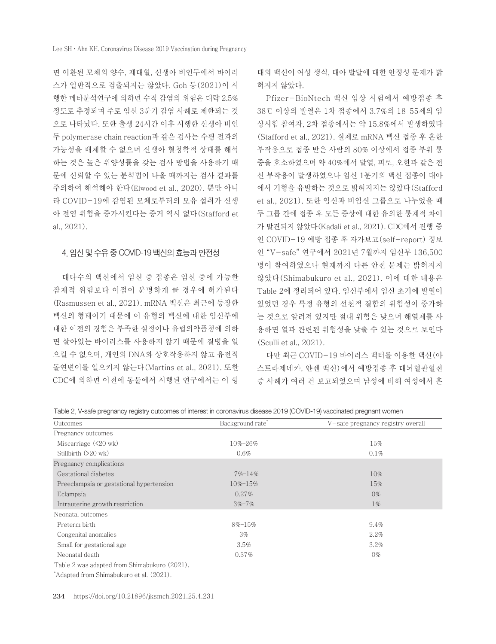면 이환된 모체의 양수, 제대혈, 신생아 비인두에서 바이러 스가 일반적으로 검출되지는 않았다. Goh 등(2021)이 시 행한 메타분석연구에 의하면 수직 감염의 위험은 대략 2.5% 정도로 추정되며 주로 임신 3분기 감염 사례로 제한되는 것 으로 나타났다. 또한 출생 24시간 이후 시행한 신생아 비인 두 polymerase chain reaction과 같은 검사는 수평 전파의 가능성을 배제할 수 없으며 신생아 혈청학적 상태를 해석 하는 것은 높은 위양성률을 갖는 검사 방법을 사용하기 때 문에 신뢰할 수 있는 분석법이 나올 때까지는 검사 결과를 주의하여 해석해야 한다(Elwood et al., 2020). 뿐만 아니 라 COVID-19에 감염된 모체로부터의 모유 섭취가 신생 아 전염 위험을 증가시킨다는 증거 역시 없다(Stafford et al., 2021).

### 4. 임신 및 수유 중 COVID-19 백신의 효능과 안전성

대다수의 백신에서 임신 중 접종은 임신 중에 가능한 잠재적 위험보다 이점이 분명하게 클 경우에 허가된다 (Rasmussen et al., 2021). mRNA 백신은 최근에 등장한 백신의 형태이기 때문에 이 유형의 백신에 대한 임신부에 대한 이전의 경험은 부족한 실정이나 유럽의약품청에 의하 면 살아있는 바이러스를 사용하지 않기 때문에 질병을 일 으킬 수 없으며, 개인의 DNA와 상호작용하지 않고 유전적 돌연변이를 일으키지 않는다(Martins et al., 2021). 또한 CDC에 의하면 이전에 동물에서 시행된 연구에서는 이 형

태의 백신이 여성 생식, 태아 발달에 대한 안정성 문제가 밝 혀지지 않았다.

Pfizer-BioNtech 백신 임상 시험에서 예방접종 후 38℃ 이상의 발열은 1차 접종에서 3.7%의 18–55세의 임 상시험 참여자, 2차 접종에서는 약 15.8%에서 발생하였다 (Stafford et al., 2021). 실제로 mRNA 백신 접종 후 흔한 부작용으로 접종 받은 사람의 80% 이상에서 접종 부위 통 증을 호소하였으며 약 40%에서 발열, 피로, 오한과 같은 전 신 부작용이 발생하였으나 임신 1분기의 백신 접종이 태아 에서 기형을 유발하는 것으로 밝혀지지는 않았다(Stafford et al., 2021). 또한 임신과 비임신 그룹으로 나누었을 때 두 그룹 간에 접종 후 모든 증상에 대한 유의한 통계적 차이 가 발견되지 않았다(Kadali et al., 2021). CDC에서 진행 중 인 COVID-19 예방 접종 후 자가보고(self-report) 정보 인 "V-safe" 연구에서 2021년 7월까지 임신부 136,500 명이 참여하였으나 현재까지 다른 안전 문제는 밝혀지지 않았다(Shimabukuro et al., 2021). 이에 대한 내용은 Table 2에 정리되어 있다. 임신부에서 임신 초기에 발열이 있었던 경우 특정 유형의 선천적 결함의 위험성이 증가하 는 것으로 알려져 있지만 절대 위험은 낮으며 해열제를 사 용하면 열과 관련된 위험성을 낮출 수 있는 것으로 보인다 (Sculli et al., 2021).

다만 최근 COVID-19 바이러스 벡터를 이용한 백신(아 스트라제네카, 얀센 백신)에서 예방접종 후 대뇌혈관혈전 증 사례가 여러 건 보고되었으며 남성에 비해 여성에서 흔

Table 2. V-safe pregnancy registry outcomes of interest in coronavirus disease 2019 (COVID-19) vaccinated pregnant women

| Outcomes                                 | Background rate* | V-safe pregnancy registry overall |
|------------------------------------------|------------------|-----------------------------------|
| Pregnancy outcomes                       |                  |                                   |
| Miscarriage $(\leq 20 \text{ wk})$       | $10\% - 26\%$    | 15%                               |
| Stillbirth $(20 \text{ wk})$             | $0.6\%$          | $0.1\%$                           |
| Pregnancy complications                  |                  |                                   |
| Gestational diabetes                     | $7\% - 14\%$     | $10\%$                            |
| Preeclampsia or gestational hypertension | $10\% - 15\%$    | 15%                               |
| Eclampsia                                | $0.27\%$         | $0\%$                             |
| Intrauterine growth restriction          | $3\% - 7\%$      | $1\%$                             |
| Neonatal outcomes                        |                  |                                   |
| Preterm birth                            | $8\% - 15\%$     | $9.4\%$                           |
| Congenital anomalies                     | 3%               | 2.2%                              |
| Small for gestational age                | 3.5%             | $3.2\%$                           |
| Neonatal death                           | 0.37%            | $0\%$                             |

Table 2 was adapted from Shimabukuro (2021).

\* Adapted from Shimabukuro et al. (2021).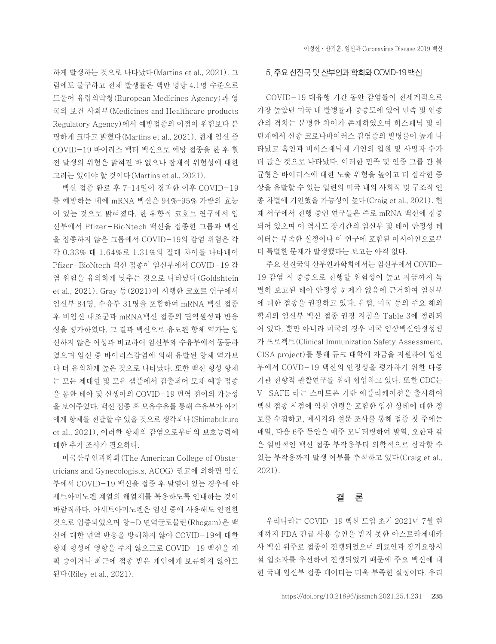하게 발생하는 것으로 나타났다(Martins et al., 2021). 그 럼에도 불구하고 전체 발생률은 백만 명당 4.1명 수준으로 드물어 유럽의약청(European Medicines Agency)과 영 국의 보건 사회부(Medicines and Healthcare products Regulatory Agency)에서 예방접종의 이점이 위험보다 분 명하게 크다고 밝혔다(Martins et al., 2021). 현재 임신 중 COVID-19 바이러스 벡터 백신으로 예방 접종을 한 후 혈 전 발생의 위험은 밝혀진 바 없으나 잠재적 위험성에 대한 고려는 있어야 할 것이다(Martins et al., 2021).

백신 접종 완료 후 7–14일이 경과한 이후 COVID-19 를 예방하는 데에 mRNA 백신은 94%–95% 가량의 효능 이 있는 것으로 밝혀졌다. 한 후향적 코호트 연구에서 임 신부에서 Pfizer-BioNtech 백신을 접종한 그룹과 백신 을 접종하지 않은 그룹에서 COVID-19의 감염 위험은 각 각 0.33% 대 1.64%로 1.31%의 절대 차이를 나타내어 Pfizer-BioNtech 백신 접종이 임신부에서 COVID-19 감 염 위험을 유의하게 낮추는 것으로 나타났다(Goldshtein et al., 2021). Gray 등(2021)이 시행한 코호트 연구에서 임신부 84명, 수유부 31명을 포함하여 mRNA 백신 접종 후 비임신 대조군과 mRNA백신 접종의 면역원성과 반응 성을 평가하였다. 그 결과 백신으로 유도된 항체 역가는 임 신하지 않은 여성과 비교하여 임신부와 수유부에서 동등하 였으며 임신 중 바이러스감염에 의해 유발된 항체 역가보 다 더 유의하게 높은 것으로 나타났다. 또한 백신 형성 항체 는 모든 제대혈 및 모유 샘플에서 검출되어 모체 예방 접종 을 통한 태아 및 신생아의 COVID-19 면역 전이의 가능성 을 보여주었다. 백신 접종 후 모유수유를 통해 수유부가 아기 에게 항체를 전달할 수 있을 것으로 생각되나(Shimabukuro et al., 2021), 이러한 항체의 감염으로부터의 보호능력에 대한 추가 조사가 필요하다.

미국산부인과학회(The American College of Obstetricians and Gynecologists, ACOG) 권고에 의하면 임신 부에서 COVID-19 백신을 접종 후 발열이 있는 경우에 아 세트아미노펜 계열의 해열제를 복용하도록 안내하는 것이 바람직하다. 아세트아미노펜은 임신 중에 사용해도 안전한 것으로 입증되었으며 항-D 면역글로불린(Rhogam)은 백 신에 대한 면역 반응을 방해하지 않아 COVID-19에 대한 항체 형성에 영향을 주지 않으므로 COVID-19 백신을 계 획 중이거나 최근에 접종 받은 개인에게 보류하지 않아도 된다(Riley et al., 2021).

### 5. 주요 선진국 및 산부인과 학회와 COVID-19 백신

COVID-19 대유행 기간 동안 감염률이 전세계적으로 가장 높았던 미국 내 발병률과 중증도에 있어 민족 및 인종 간의 격차는 분명한 차이가 존재하였으며 히스패닉 및 라 틴계에서 신종 코로나바이러스 감염증의 발병률이 높게 나 타났고 흑인과 비히스패닉계 개인의 입원 및 사망자 수가 더 많은 것으로 나타났다. 이러한 민족 및 인종 그룹 간 불 균형은 바이러스에 대한 노출 위험을 높이고 더 심각한 증 상을 유발할 수 있는 일련의 미국 내의 사회적 및 구조적 인 종 차별에 기인했을 가능성이 높다(Craig et al., 2021). 현 재 서구에서 진행 중인 연구들은 주로 mRNA 백신에 집중 되어 있으며 이 역시도 장기간의 임신부 및 태아 안정성 데 이터는 부족한 실정이나 이 연구에 포함된 아시아인으로부 터 특별한 문제가 발생했다는 보고는 아직 없다.

주요 선진국의 산부인과학회에서는 임신부에서 COVID-19 감염 시 중증으로 진행할 위험성이 높고 지금까지 특 별히 보고된 태아 안정성 문제가 없음에 근거하여 임신부 에 대한 접종을 권장하고 있다. 유럽, 미국 등의 주요 해외 학계의 임신부 백신 접종 권장 지침은 Table 3에 정리되 어 있다. 뿐만 아니라 미국의 경우 미국 임상백신안정성평 가 프로젝트(Clinical Immunization Safety Assessment, CISA project)를 통해 듀크 대학에 자금을 지원하여 임산 부에서 COVD-19 백신의 안정성을 평가하기 위한 다중 기관 전향적 관찰연구를 위해 협업하고 있다. 또한 CDC는 V-SAFE 라는 스마트폰 기반 애플리케이션을 출시하여 백신 접종 시점에 임신 연령을 포함한 임신 상태에 대한 정 보를 수집하고, 메시지와 설문 조사를 통해 접종 첫 주에는 매일, 다음 6주 동안은 매주 모니터링하여 발열, 오한과 같 은 일반적인 백신 접종 부작용부터 의학적으로 심각할 수 있는 부작용까지 발생 여부를 추적하고 있다(Craig et al., 2021).

### 결 론

우리나라는 COVID-19 백신 도입 초기 2021년 7월 현 재까지 FDA 긴급 사용 승인을 받지 못한 아스트라제네카 사 백신 위주로 접종이 진행되었으며 의료인과 장기요양시 설 입소자를 우선하여 진행되었기 때문에 주요 백신에 대 한 국내 임신부 접종 데이터는 더욱 부족한 실정이다. 우리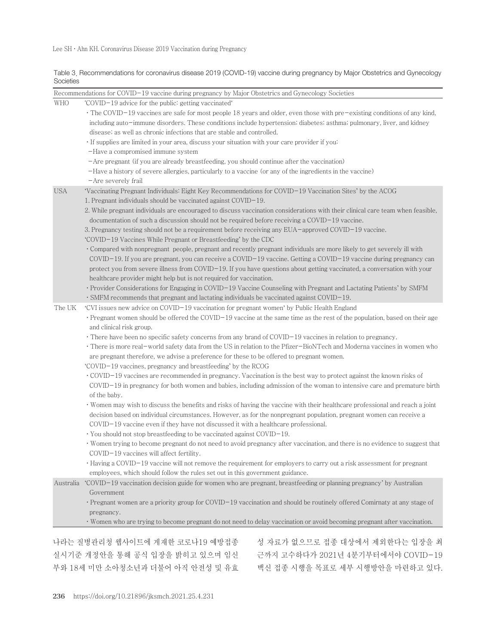Lee SH·Ahn KH. Coronavirus Disease 2019 Vaccination during Pregnancy

Table 3. Recommendations for coronavirus disease 2019 (COVID-19) vaccine during pregnancy by Major Obstetrics and Gynecology **Societies** 

| The COVID-19 vaccines are safe for most people 18 years and older, even those with pre-existing conditions of any kind,<br>including auto-immune disorders. These conditions include hypertension; diabetes; asthma; pulmonary, liver, and kidney<br>disease, as well as chronic infections that are stable and controlled.<br>· If supplies are limited in your area, discuss your situation with your care provider if you:<br>$-A$ re pregnant (if you are already breastfeeding, you should continue after the vaccination)<br>-Have a history of severe allergies, particularly to a vaccine (or any of the ingredients in the vaccine)<br>'Vaccinating Pregnant Individuals: Eight Key Recommendations for COVID-19 Vaccination Sites' by the ACOG<br>1. Pregnant individuals should be vaccinated against COVID-19.<br>2. While pregnant individuals are encouraged to discuss vaccination considerations with their clinical care team when feasible,<br>documentation of such a discussion should not be required before receiving a COVID-19 vaccine.<br>3. Pregnancy testing should not be a requirement before receiving any EUA-approved COVID-19 vaccine.<br>'COVID-19 Vaccines While Pregnant or Breastfeeding' by the CDC<br>Compared with nonpregnant people, pregnant and recently pregnant individuals are more likely to get severely ill with<br>COVID-19. If you are pregnant, you can receive a COVID-19 vaccine. Getting a COVID-19 vaccine during pregnancy can                                                                                                                                                              |
|-------------------------------------------------------------------------------------------------------------------------------------------------------------------------------------------------------------------------------------------------------------------------------------------------------------------------------------------------------------------------------------------------------------------------------------------------------------------------------------------------------------------------------------------------------------------------------------------------------------------------------------------------------------------------------------------------------------------------------------------------------------------------------------------------------------------------------------------------------------------------------------------------------------------------------------------------------------------------------------------------------------------------------------------------------------------------------------------------------------------------------------------------------------------------------------------------------------------------------------------------------------------------------------------------------------------------------------------------------------------------------------------------------------------------------------------------------------------------------------------------------------------------------------------------------------------------------------------------------------------------------------------------------|
|                                                                                                                                                                                                                                                                                                                                                                                                                                                                                                                                                                                                                                                                                                                                                                                                                                                                                                                                                                                                                                                                                                                                                                                                                                                                                                                                                                                                                                                                                                                                                                                                                                                       |
| protect you from severe illness from COVID-19. If you have questions about getting vaccinated, a conversation with your<br>healthcare provider might help but is not required for vaccination.<br>• Provider Considerations for Engaging in COVID-19 Vaccine Counseling with Pregnant and Lactating Patients' by SMFM<br>$\cdot$ SMFM recommends that pregnant and lactating individuals be vaccinated against COVID-19.                                                                                                                                                                                                                                                                                                                                                                                                                                                                                                                                                                                                                                                                                                                                                                                                                                                                                                                                                                                                                                                                                                                                                                                                                              |
| 'CVI issues new advice on COVID-19 vaccination for pregnant women' by Public Health England<br>Pregnant women should be offered the COVID-19 vaccine at the same time as the rest of the population, based on their age<br>There have been no specific safety concerns from any brand of $\text{COVID}-19$ vaccines in relation to pregnancy.<br>There is more real-world safety data from the US in relation to the Pfizer-BioNTech and Moderna vaccines in women who<br>are pregnant therefore, we advise a preference for these to be offered to pregnant women.<br>'COVID-19 vaccines, pregnancy and breastfeeding' by the RCOG<br>• COVID-19 vaccines are recommended in pregnancy. Vaccination is the best way to protect against the known risks of<br>$COVID-19$ in pregnancy for both women and babies, including admission of the woman to intensive care and premature birth<br>Women may wish to discuss the benefits and risks of having the vaccine with their healthcare professional and reach a joint<br>decision based on individual circumstances. However, as for the nonpregnant population, pregnant women can receive a<br>$COVID-19$ vaccine even if they have not discussed it with a healthcare professional.<br>You should not stop breastfeeding to be vaccinated against COVID-19.<br>Women trying to become pregnant do not need to avoid pregnancy after vaccination, and there is no evidence to suggest that<br>Having a COVID-19 vaccine will not remove the requirement for employers to carry out a risk assessment for pregnant<br>employees, which should follow the rules set out in this government guidance. |
| 'COVID-19 vaccination decision guide for women who are pregnant, breastfeeding or planning pregnancy' by Australian<br>Pregnant women are a priority group for COVID-19 vaccination and should be routinely offered Comirnaty at any stage of<br>Women who are trying to become pregnant do not need to delay vaccination or avoid becoming pregnant after vaccination.                                                                                                                                                                                                                                                                                                                                                                                                                                                                                                                                                                                                                                                                                                                                                                                                                                                                                                                                                                                                                                                                                                                                                                                                                                                                               |
|                                                                                                                                                                                                                                                                                                                                                                                                                                                                                                                                                                                                                                                                                                                                                                                                                                                                                                                                                                                                                                                                                                                                                                                                                                                                                                                                                                                                                                                                                                                                                                                                                                                       |

실시기준 개정안을 통해 공식 입장을 밝히고 있으며 임신 근까지 고수하다가 2021년 4분기부터에서야 COVID-19 부와 18세 미만 소아청소년과 더불어 아직 안전성 및 유효

백신 접종 시행을 목표로 세부 시행방안을 마련하고 있다.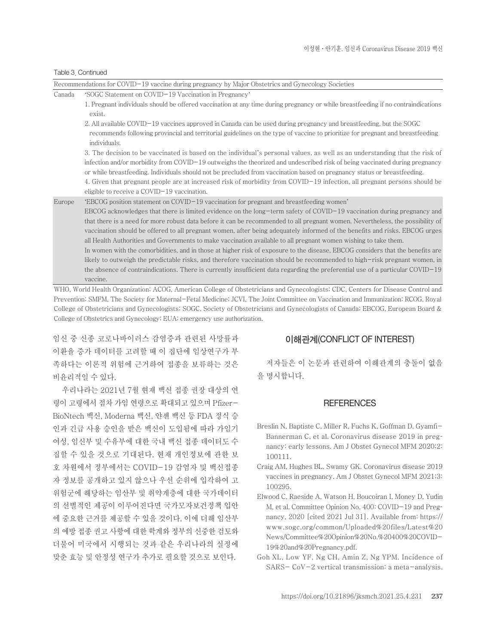#### Table 3. Continued

|        | Recommendations for COVID-19 vaccine during pregnancy by Major Obstetrics and Gynecology Societies                                                                                                                                                                                                                                                                                                                                                                                                                                                                                                                                                                                                                                                                                                                                                                                                                                                                                                                    |
|--------|-----------------------------------------------------------------------------------------------------------------------------------------------------------------------------------------------------------------------------------------------------------------------------------------------------------------------------------------------------------------------------------------------------------------------------------------------------------------------------------------------------------------------------------------------------------------------------------------------------------------------------------------------------------------------------------------------------------------------------------------------------------------------------------------------------------------------------------------------------------------------------------------------------------------------------------------------------------------------------------------------------------------------|
| Canada | 'SOGC Statement on COVID-19 Vaccination in Pregnancy'                                                                                                                                                                                                                                                                                                                                                                                                                                                                                                                                                                                                                                                                                                                                                                                                                                                                                                                                                                 |
|        | 1. Pregnant individuals should be offered vaccination at any time during pregnancy or while breastfeeding if no contraindications<br>exist.                                                                                                                                                                                                                                                                                                                                                                                                                                                                                                                                                                                                                                                                                                                                                                                                                                                                           |
|        | 2. All available COVID-19 vaccines approved in Canada can be used during pregnancy and breastfeeding, but the SOGC<br>recommends following provincial and territorial guidelines on the type of vaccine to prioritize for pregnant and breastfeeding<br>individuals.<br>3. The decision to be vaccinated is based on the individual's personal values, as well as an understanding that the risk of                                                                                                                                                                                                                                                                                                                                                                                                                                                                                                                                                                                                                   |
|        | infection and/or morbidity from $\text{COVID}-19$ outweighs the theorized and undescribed risk of being vaccinated during pregnancy<br>or while breastfeeding. Individuals should not be precluded from vaccination based on pregnancy status or breastfeeding.<br>4. Given that pregnant people are at increased risk of morbidity from COVID-19 infection, all pregnant persons should be<br>eligible to receive a $COVID-19$ vaccination.                                                                                                                                                                                                                                                                                                                                                                                                                                                                                                                                                                          |
| Europe | 'EBCOG position statement on COVID-19 vaccination for pregnant and breastfeeding women'<br>$EBCOG$ acknowledges that there is limited evidence on the long-term safety of COVID-19 vaccination during pregnancy and<br>that there is a need for more robust data before it can be recommended to all pregnant women. Nevertheless, the possibility of<br>vaccination should be offered to all pregnant women, after being adequately informed of the benefits and risks. EBCOG urges<br>all Health Authorities and Governments to make vaccination available to all pregnant women wishing to take them.<br>In women with the comorbidities, and in those at higher risk of exposure to the disease, EBCOG considers that the benefits are<br>likely to outweigh the predictable risks, and therefore vaccination should be recommended to high-risk pregnant women, in<br>the absence of contraindications. There is currently insufficient data regarding the preferential use of a particular COVID-19<br>vaccine. |
|        | WHO, World Health Organization; ACOG, American College of Obstetricians and Gynecologists; CDC, Centers for Disease Control and                                                                                                                                                                                                                                                                                                                                                                                                                                                                                                                                                                                                                                                                                                                                                                                                                                                                                       |

Prevention; SMFM, The Society for Maternal-Fetal Medicine; JCVI, The Joint Committee on Vaccination and Immunization; RCOG, Royal College of Obstetricians and Gynecologists; SOGC, Society of Obstetricians and Gynecologists of Canada; EBCOG, European Board & College of Obstetrics and Gynecology; EUA; emergency use authorization.

임신 중 신종 코로나바이러스 감염증과 관련된 사망률과 이환율 증가 데이터를 고려할 때 이 집단에 임상연구가 부 족하다는 이론적 위험에 근거하여 접종을 보류하는 것은 비윤리적일 수 있다.

우리나라는 2021년 7월 현재 백신 접종 권장 대상의 연 령이 고령에서 점차 가임 연령으로 확대되고 있으며 Pfizer-BioNtech 백신, Moderna 백신, 얀센 백신 등 FDA 정식 승 인과 긴급 사용 승인을 받은 백신이 도입됨에 따라 가임기 여성, 임신부 및 수유부에 대한 국내 백신 접종 데이터도 수 집할 수 있을 것으로 기대된다. 현재 개인정보에 관한 보 호 차원에서 정부에서는 COVID-19 감염자 및 백신접종 자 정보를 공개하고 있지 않으나 우선 순위에 입각하여 고 위험군에 해당하는 임산부 및 취약계층에 대한 국가데이터 의 선별적인 제공이 이루어진다면 국가모자보건정책 입안 에 중요한 근거를 제공할 수 있을 것이다. 이에 더해 임산부 의 예방 접종 권고 사항에 대한 학계와 정부의 신중한 검토와 더불어 미국에서 시행되는 것과 같은 우리나라의 실정에 맞춘 효능 및 안정성 연구가 추가로 필요할 것으로 보인다.

### 이해관계(CONFLICT OF INTEREST)

저자들은 이 논문과 관련하여 이해관계의 충돌이 없음 을 명시합니다.

#### **REFERENCES**

- Breslin N, Baptiste C, Miller R, Fuchs K, Goffman D, Gyamfi-Bannerman C, et al. Coronavirus disease 2019 in pregnancy: early lessons. Am J Obstet Gynecol MFM 2020;2: 100111.
- Craig AM, Hughes BL, Swamy GK. Coronavirus disease 2019 vaccines in pregnancy. Am J Obstet Gynecol MFM 2021;3: 100295.
- Elwood C, Raeside A, Watson H, Boucoiran I, Money D, Yudin M, et al. Committee Opinion No. 400: COVID-19 and Pregnancy, 2020 [cited 2021 Jul 31]. Available from: [https://](https://www.sogc.org/common/Uploaded%20files/Latest%20News/Committee%20Opinion%20No.%20400%20COVID-19%20and%20Pregnancy.pdf) [www.sogc.org/common/Uploaded%20files/Latest%20](https://www.sogc.org/common/Uploaded%20files/Latest%20News/Committee%20Opinion%20No.%20400%20COVID-19%20and%20Pregnancy.pdf) [News/Committee%20Opinion%20No.%20400%20COVID-](https://www.sogc.org/common/Uploaded%20files/Latest%20News/Committee%20Opinion%20No.%20400%20COVID-19%20and%20Pregnancy.pdf)[19%20and%20Pregnancy.pdf.](https://www.sogc.org/common/Uploaded%20files/Latest%20News/Committee%20Opinion%20No.%20400%20COVID-19%20and%20Pregnancy.pdf)
- Goh XL, Low YF, Ng CH, Amin Z, Ng YPM. Incidence of SARS- CoV-2 vertical transmission: a meta-analysis.